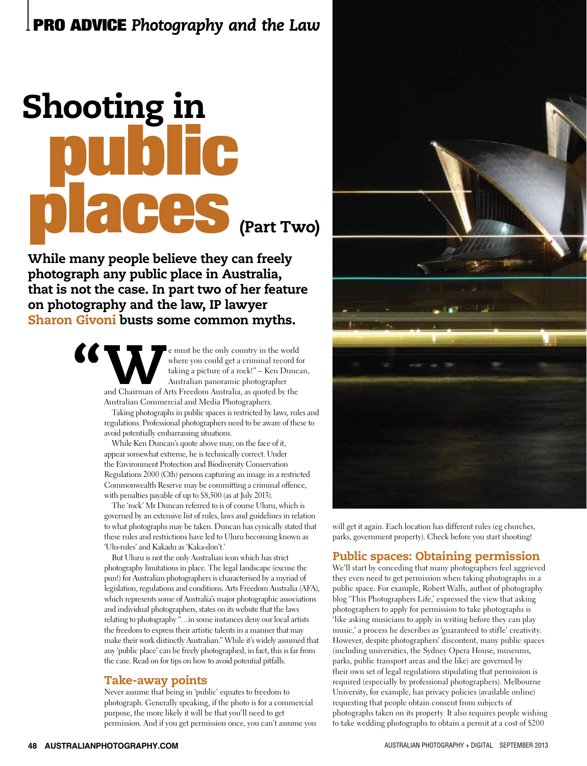# public places Shooting in (Part Two)

While many people believe they can freely photograph any public place in Australia, that is not the case. In part two of her feature on photography and the law, IP lawyer Sharon Givoni busts some common myths.

> e must be the only country in the world<br>
> where you could get a criminal record for<br>
> taking a picture of a rock!" – Ken Dunca<br>
> Australian panoramic photographer<br>
> and Chairman of Arts Freedom Australia, as quoted by the where you could get a criminal record for taking a picture of a rock!" – Ken Duncan, Australian panoramic photographer Australian Commercial and Media Photographers.

Taking photographs in public spaces is restricted by laws, rules and regulations. Professional photographers need to be aware of these to avoid potentially embarrassing situations.

While Ken Duncan's quote above may, on the face of it, appear somewhat extreme, he is technically correct. Under the Environment Protection and Biodiversity Conservation Regulations 2000 (Cth) persons capturing an image in a restricted Commonwealth Reserve may be committing a criminal offence, with penalties payable of up to \$8,500 (as at July 2013).

The 'rock' Mr Duncan referred to is of course Uluru, which is governed by an extensive list of rules, laws and guidelines in relation to what photographs may be taken. Duncan has cynically stated that these rules and restrictions have led to Uluru becoming known as 'Ulu-rules' and Kakadu as 'Kaka-don't.'

But Uluru is not the only Australian icon which has strict photography limitations in place. The legal landscape (excuse the pun!) for Australian photographers is characterised by a myriad of legislation, regulations and conditions. Arts Freedom Australia (AFA), which represents some of Australia's major photographic associations and individual photographers, states on its website that the laws relating to photography "…in some instances deny our local artists the freedom to express their artistic talents in a manner that may make their work distinctly Australian." While it's widely assumed that any 'public place' can be freely photographed, in fact, this is far from the case. Read on for tips on how to avoid potential pitfalls.

# Take-away points

Never assume that being in 'public' equates to freedom to photograph. Generally speaking, if the photo is for a commercial purpose, the more likely it will be that you'll need to get permission. And if you get permission once, you can't assume you



will get it again. Each location has different rules (eg churches, parks, government property). Check before you start shooting!

# Public spaces: Obtaining permission

We'll start by conceding that many photographers feel aggrieved they even need to get permission when taking photographs in a public space. For example, Robert Walls, author of photography blog 'This Photographers Life,' expressed the view that asking photographers to apply for permission to take photographs is 'like asking musicians to apply in writing before they can play music,' a process he describes as 'guaranteed to stifle' creativity. However, despite photographers' discontent, many public spaces (including universities, the Sydney Opera House, museums, parks, public transport areas and the like) are governed by their own set of legal regulations stipulating that permission is required (especially by professional photographers). Melbourne University, for example, has privacy policies (available online) requesting that people obtain consent from subjects of photographs taken on its property. It also requires people wishing to take wedding photographs to obtain a permit at a cost of \$200

"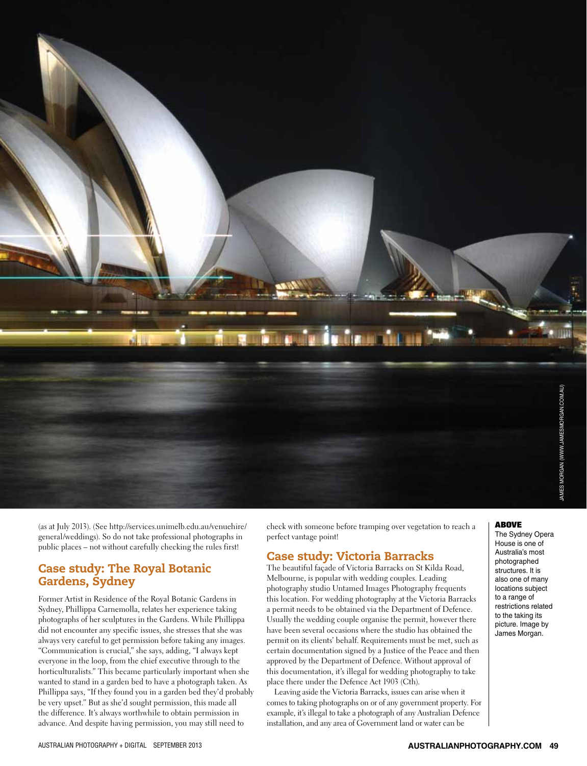

(as at July 2013). (See http://services.unimelb.edu.au/venuehire/ general/weddings). So do not take professional photographs in public places – not without carefully checking the rules first!

# Case study: The Royal Botanic Gardens, Sydney

Former Artist in Residence of the Royal Botanic Gardens in Sydney, Phillippa Carnemolla, relates her experience taking photographs of her sculptures in the Gardens. While Phillippa did not encounter any specific issues, she stresses that she was always very careful to get permission before taking any images. "Communication is crucial," she says, adding, "I always kept everyone in the loop, from the chief executive through to the horticulturalists." This became particularly important when she wanted to stand in a garden bed to have a photograph taken. As Phillippa says, "If they found you in a garden bed they'd probably be very upset." But as she'd sought permission, this made all the difference. It's always worthwhile to obtain permission in advance. And despite having permission, you may still need to

check with someone before tramping over vegetation to reach a perfect vantage point!

# Case study: Victoria Barracks

The beautiful façade of Victoria Barracks on St Kilda Road, Melbourne, is popular with wedding couples. Leading photography studio Untamed Images Photography frequents this location. For wedding photography at the Victoria Barracks a permit needs to be obtained via the Department of Defence. Usually the wedding couple organise the permit, however there have been several occasions where the studio has obtained the permit on its clients' behalf. Requirements must be met, such as certain documentation signed by a Justice of the Peace and then approved by the Department of Defence. Without approval of this documentation, it's illegal for wedding photography to take place there under the Defence Act 1903 (Cth).

Leaving aside the Victoria Barracks, issues can arise when it comes to taking photographs on or of any government property. For example, it's illegal to take a photograph of any Australian Defence installation, and any area of Government land or water can be

#### ABOVE

The Sydney Opera House is one of Australia's most photographed structures. It is also one of many locations subject to a range of restrictions related to the taking its picture. Image by James Morgan.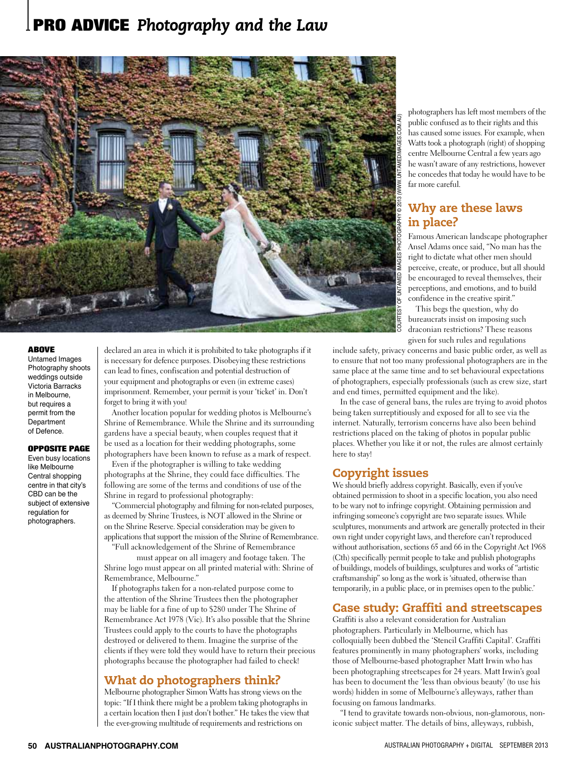# **PRO ADVICE** *Photography and the Law*



#### ABOVE

Untamed Images Photography shoots weddings outside Victoria Barracks in Melbourne, but requires a permit from the **Department** of Defence.

#### opposite page

Even busy locations like Melbourne Central shopping centre in that city's CBD can be the subject of extensive regulation for photographers.

declared an area in which it is prohibited to take photographs if it is necessary for defence purposes. Disobeying these restrictions can lead to fines, confiscation and potential destruction of your equipment and photographs or even (in extreme cases) imprisonment. Remember, your permit is your 'ticket' in. Don't forget to bring it with you!

Another location popular for wedding photos is Melbourne's Shrine of Remembrance. While the Shrine and its surrounding gardens have a special beauty, when couples request that it be used as a location for their wedding photographs, some photographers have been known to refuse as a mark of respect.

Even if the photographer is willing to take wedding photographs at the Shrine, they could face difficulties. The following are some of the terms and conditions of use of the Shrine in regard to professional photography:

"Commercial photography and filming for non-related purposes, as deemed by Shrine Trustees, is NOT allowed in the Shrine or on the Shrine Reserve. Special consideration may be given to applications that support the mission of the Shrine of Remembrance.

"Full acknowledgement of the Shrine of Remembrance

must appear on all imagery and footage taken. The Shrine logo must appear on all printed material with: Shrine of Remembrance, Melbourne."

If photographs taken for a non-related purpose come to the attention of the Shrine Trustees then the photographer may be liable for a fine of up to \$280 under The Shrine of Remembrance Act 1978 (Vic). It's also possible that the Shrine Trustees could apply to the courts to have the photographs destroyed or delivered to them. Imagine the surprise of the clients if they were told they would have to return their precious photographs because the photographer had failed to check!

# What do photographers think?

Melbourne photographer Simon Watts has strong views on the topic: "If I think there might be a problem taking photographs in a certain location then I just don't bother." He takes the view that the ever-growing multitude of requirements and restrictions on

photographers has left most members of the public confused as to their rights and this has caused some issues. For example, when Watts took a photograph (right) of shopping centre Melbourne Central a few years ago he wasn't aware of any restrictions, however he concedes that today he would have to be far more careful.

# Why are these laws in place?

Famous American landscape photographer Ansel Adams once said, "No man has the right to dictate what other men should perceive, create, or produce, but all should be encouraged to reveal themselves, their perceptions, and emotions, and to build confidence in the creative spirit."

This begs the question, why do bureaucrats insist on imposing such draconian restrictions? These reasons given for such rules and regulations

include safety, privacy concerns and basic public order, as well as to ensure that not too many professional photographers are in the same place at the same time and to set behavioural expectations of photographers, especially professionals (such as crew size, start and end times, permitted equipment and the like).

In the case of general bans, the rules are trying to avoid photos being taken surreptitiously and exposed for all to see via the internet. Naturally, terrorism concerns have also been behind restrictions placed on the taking of photos in popular public places. Whether you like it or not, the rules are almost certainly here to stay!

## Copyright issues

We should briefly address copyright. Basically, even if you've obtained permission to shoot in a specific location, you also need to be wary not to infringe copyright. Obtaining permission and infringing someone's copyright are two separate issues. While sculptures, monuments and artwork are generally protected in their own right under copyright laws, and therefore can't reproduced without authorisation, sections 65 and 66 in the Copyright Act 1968 (Cth) specifically permit people to take and publish photographs of buildings, models of buildings, sculptures and works of "artistic craftsmanship" so long as the work is 'situated, otherwise than temporarily, in a public place, or in premises open to the public.'

## Case study: Graffiti and streetscapes

Graffiti is also a relevant consideration for Australian photographers. Particularly in Melbourne, which has colloquially been dubbed the 'Stencil Graffiti Capital'. Graffiti features prominently in many photographers' works, including those of Melbourne-based photographer Matt Irwin who has been photographing streetscapes for 24 years. Matt Irwin's goal has been to document the 'less than obvious beauty' (to use his words) hidden in some of Melbourne's alleyways, rather than focusing on famous landmarks.

"I tend to gravitate towards non-obvious, non-glamorous, noniconic subject matter. The details of bins, alleyways, rubbish,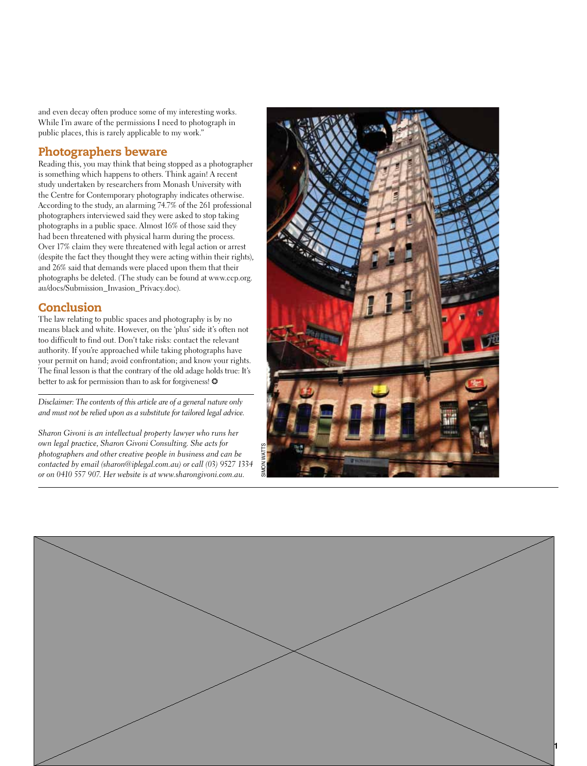and even decay often produce some of my interesting works. While I'm aware of the permissions I need to photograph in public places, this is rarely applicable to my work."

# Photographers beware

Reading this, you may think that being stopped as a photographer is something which happens to others. Think again! A recent study undertaken by researchers from Monash University with the Centre for Contemporary photography indicates otherwise. According to the study, an alarming 74.7% of the 261 professional photographers interviewed said they were asked to stop taking photographs in a public space. Almost 16% of those said they had been threatened with physical harm during the process. Over 17% claim they were threatened with legal action or arrest (despite the fact they thought they were acting within their rights), and 26% said that demands were placed upon them that their photographs be deleted. (The study can be found at www.ccp.org. au/docs/Submission\_Invasion\_Privacy.doc).

# **Conclusion**

The law relating to public spaces and photography is by no means black and white. However, on the 'plus' side it's often not too difficult to find out. Don't take risks: contact the relevant authority. If you're approached while taking photographs have your permit on hand; avoid confrontation; and know your rights. The final lesson is that the contrary of the old adage holds true: It's better to ask for permission than to ask for forgiveness!  $\odot$ 

*Disclaimer: The contents of this article are of a general nature only and must not be relied upon as a substitute for tailored legal advice.* 

*Sharon Givoni is an intellectual property lawyer who runs her own legal practice, Sharon Givoni Consulting. She acts for photographers and other creative people in business and can be contacted by email (sharon@iplegal.com.au) or call (03) 9527 1334 own legal plactice, sharon Givolu Consulting. She acts for*<br>*photographers and other creative people in business and can be*<br>*contacted by email (sharon@iplegal.com.au) or call (03) 9527 1334*<br>*or on 0410 557 907. Her web*